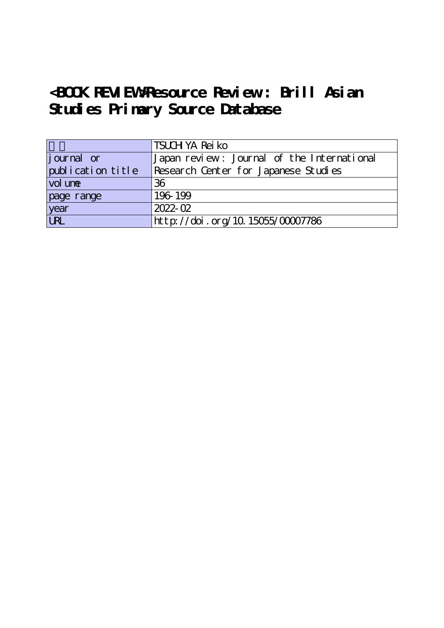# **<BOOK REVIEW>Resource Review : Brill Asian Studies Primary Source Database**

|                    | TSUCH YA Rei ko                            |
|--------------------|--------------------------------------------|
| <i>j</i> ournal or | Japan review: Journal of the International |
| publication title  | Research Center for Japanese Studies       |
| vol une            | 36                                         |
| page range         | 196-199                                    |
| year<br>URL        | 2022-02                                    |
|                    | http://doi.org/10.15055/00007786           |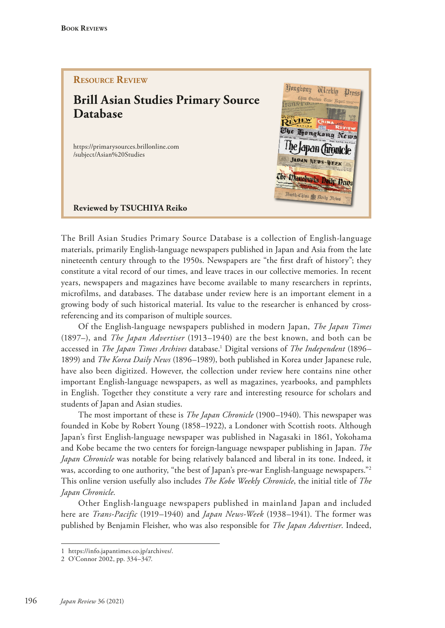### **Resource Review**

## **Brill Asian Studies Primary Source Database**

https://primarysources.brillonline.com /subject/Asian%20Studies



**Reviewed by TSUCHIYA Reiko**

The Brill Asian Studies Primary Source Database is a collection of English-language materials, primarily English-language newspapers published in Japan and Asia from the late nineteenth century through to the 1950s. Newspapers are "the frst draft of history"; they constitute a vital record of our times, and leave traces in our collective memories. In recent years, newspapers and magazines have become available to many researchers in reprints, microfilms, and databases. The database under review here is an important element in a growing body of such historical material. Its value to the researcher is enhanced by crossreferencing and its comparison of multiple sources.

Of the English-language newspapers published in modern Japan, *The Japan Times* (1897–), and *The Japan Advertiser* (1913–1940) are the best known, and both can be accessed in *The Japan Times Archives* database.1 Digital versions of *The Independent* (1896– 1899) and *The Korea Daily News* (1896–1989), both published in Korea under Japanese rule, have also been digitized. However, the collection under review here contains nine other important English-language newspapers, as well as magazines, yearbooks, and pamphlets in English. Together they constitute a very rare and interesting resource for scholars and students of Japan and Asian studies.

The most important of these is *The Japan Chronicle* (1900–1940). This newspaper was founded in Kobe by Robert Young (1858–1922), a Londoner with Scottish roots. Although Japan's first English-language newspaper was published in Nagasaki in 1861, Yokohama and Kobe became the two centers for foreign-language newspaper publishing in Japan. *The Japan Chronicle* was notable for being relatively balanced and liberal in its tone. Indeed, it was, according to one authority, "the best of Japan's pre-war English-language newspapers."<sup>2</sup> This online version usefully also includes *The Kobe Weekly Chronicle*, the initial title of *The Japan Chronicle*.

Other English-language newspapers published in mainland Japan and included here are *Trans-Pacific* (1919–1940) and *Japan News-Week* (1938–1941). The former was published by Benjamin Fleisher, who was also responsible for *The Japan Advertiser*. Indeed,

<sup>1</sup> https://info.japantimes.co.jp/archives/.

<sup>2</sup> O'Connor 2002, pp. 334–347.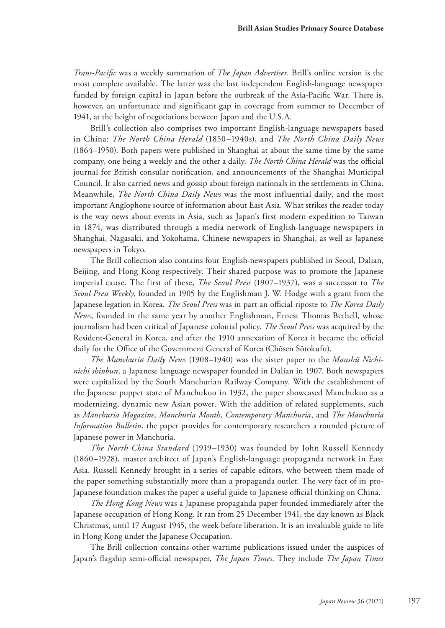*Trans-Pacifc* was a weekly summation of *The Japan Advertiser*. Brill's online version is the most complete available. The latter was the last independent English-language newspaper funded by foreign capital in Japan before the outbreak of the Asia-Pacifc War. There is, however, an unfortunate and significant gap in coverage from summer to December of 1941, at the height of negotiations between Japan and the U.S.A.

Brill's collection also comprises two important English-language newspapers based in China: *The North China Herald* (1850–1940s), and *The North China Daily News*  (1864–1950). Both papers were published in Shanghai at about the same time by the same company, one being a weekly and the other a daily. *The North China Herald* was the official journal for British consular notifcation, and announcements of the Shanghai Municipal Council. It also carried news and gossip about foreign nationals in the settlements in China. Meanwhile, *The North China Daily News* was the most influential daily, and the most important Anglophone source of information about East Asia. What strikes the reader today is the way news about events in Asia, such as Japan's first modern expedition to Taiwan in 1874, was distributed through a media network of English-language newspapers in Shanghai, Nagasaki, and Yokohama, Chinese newspapers in Shanghai, as well as Japanese newspapers in Tokyo.

The Brill collection also contains four English-newspapers published in Seoul, Dalian, Beijing, and Hong Kong respectively. Their shared purpose was to promote the Japanese imperial cause. The first of these, *The Seoul Press* (1907–1937), was a successor to *The Seoul Press Weekly*, founded in 1905 by the Englishman J. W. Hodge with a grant from the Japanese legation in Korea. *The Seoul Press* was in part an official riposte to *The Korea Daily News*, founded in the same year by another Englishman, Ernest Thomas Bethell, whose journalism had been critical of Japanese colonial policy. *The Seoul Press* was acquired by the Resident-General in Korea, and after the 1910 annexation of Korea it became the official daily for the Office of the Government General of Korea (Chōsen Sōtokufu).

*The Manchuria Daily News* (1908–1940) was the sister paper to the *Manshū Nichinichi shinbun*, a Japanese language newspaper founded in Dalian in 1907. Both newspapers were capitalized by the South Manchurian Railway Company. With the establishment of the Japanese puppet state of Manchukuo in 1932, the paper showcased Manchukuo as a modernizing, dynamic new Asian power. With the addition of related supplements, such as *Manchuria Magazine*, *Manchuria Month*, *Contemporary Manchuria*, and *The Manchuria Information Bulletin*, the paper provides for contemporary researchers a rounded picture of Japanese power in Manchuria.

*The North China Standard* (1919–1930) was founded by John Russell Kennedy (1860–1928), master architect of Japan's English-language propaganda network in East Asia. Russell Kennedy brought in a series of capable editors, who between them made of the paper something substantially more than a propaganda outlet. The very fact of its pro-Japanese foundation makes the paper a useful guide to Japanese official thinking on China.

*The Hong Kong News* was a Japanese propaganda paper founded immediately after the Japanese occupation of Hong Kong. It ran from 25 December 1941, the day known as Black Christmas, until 17 August 1945, the week before liberation. It is an invaluable guide to life in Hong Kong under the Japanese Occupation.

The Brill collection contains other wartime publications issued under the auspices of Japan's flagship semi-official newspaper, *The Japan Times*. They include *The Japan Times*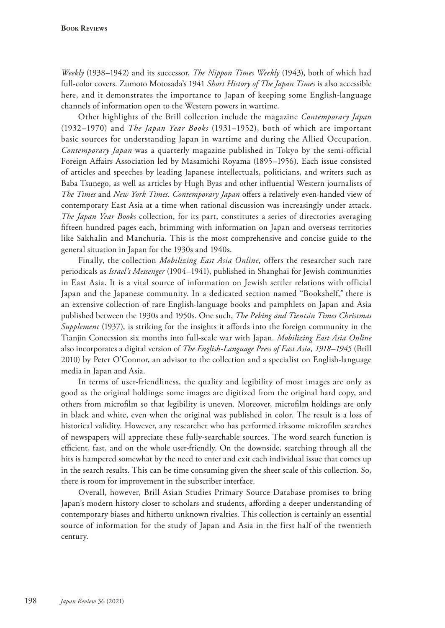*Weekly* (1938–1942) and its successor, *The Nippon Times Weekly* (1943), both of which had full-color covers. Zumoto Motosada's 1941 *Short History of The Japan Times* is also accessible here, and it demonstrates the importance to Japan of keeping some English-language channels of information open to the Western powers in wartime.

Other highlights of the Brill collection include the magazine *Contemporary Japan* (1932–1970) and *The Japan Year Books* (1931–1952), both of which are important basic sources for understanding Japan in wartime and during the Allied Occupation. *Contemporary Japan* was a quarterly magazine published in Tokyo by the semi-official Foreign Afairs Association led by Masamichi Royama (1895–1956). Each issue consisted of articles and speeches by leading Japanese intellectuals, politicians, and writers such as Baba Tsunego, as well as articles by Hugh Byas and other infuential Western journalists of *The Times* and *New York Times*. *Contemporary Japan* ofers a relatively even-handed view of contemporary East Asia at a time when rational discussion was increasingly under attack. *The Japan Year Books* collection, for its part, constitutes a series of directories averaging ffteen hundred pages each, brimming with information on Japan and overseas territories like Sakhalin and Manchuria. This is the most comprehensive and concise guide to the general situation in Japan for the 1930s and 1940s.

Finally, the collection *Mobilizing East Asia Online*, offers the researcher such rare periodicals as *Israel's Messenger* (1904–1941), published in Shanghai for Jewish communities in East Asia. It is a vital source of information on Jewish settler relations with official Japan and the Japanese community. In a dedicated section named "Bookshelf,*"* there is an extensive collection of rare English-language books and pamphlets on Japan and Asia published between the 1930s and 1950s. One such, *The Peking and Tientsin Times Christmas Supplement* (1937), is striking for the insights it afords into the foreign community in the Tianjin Concession six months into full-scale war with Japan. *Mobilizing East Asia Online* also incorporates a digital version of *The English-Language Press of East Asia, 1918*–*1945* (Brill 2010) by Peter O'Connor, an advisor to the collection and a specialist on English-language media in Japan and Asia.

In terms of user-friendliness, the quality and legibility of most images are only as good as the original holdings: some images are digitized from the original hard copy, and others from microflm so that legibility is uneven. Moreover, microflm holdings are only in black and white, even when the original was published in color. The result is a loss of historical validity. However, any researcher who has performed irksome microflm searches of newspapers will appreciate these fully-searchable sources. The word search function is efficient, fast, and on the whole user-friendly. On the downside, searching through all the hits is hampered somewhat by the need to enter and exit each individual issue that comes up in the search results. This can be time consuming given the sheer scale of this collection. So, there is room for improvement in the subscriber interface.

Overall, however, Brill Asian Studies Primary Source Database promises to bring Japan's modern history closer to scholars and students, afording a deeper understanding of contemporary biases and hitherto unknown rivalries. This collection is certainly an essential source of information for the study of Japan and Asia in the first half of the twentieth century.